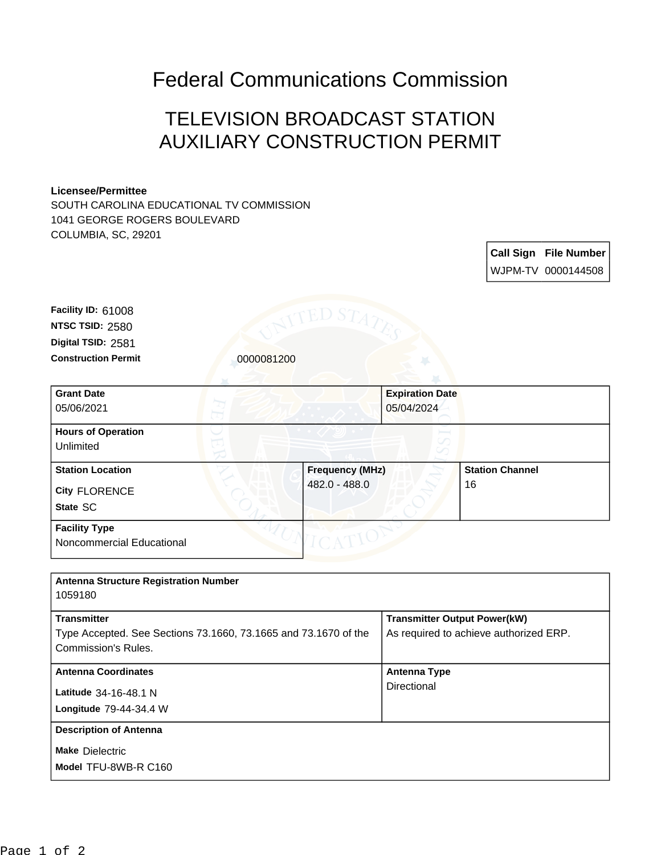## Federal Communications Commission

## TELEVISION BROADCAST STATION AUXILIARY CONSTRUCTION PERMIT

## **Licensee/Permittee**

SOUTH CAROLINA EDUCATIONAL TV COMMISSION 1041 GEORGE ROGERS BOULEVARD COLUMBIA, SC, 29201

> **Call Sign File Number** WJPM-TV 0000144508

**Construction Permit** 0000081200 **Digital TSID:** 2581 **NTSC TSID:** 2580 **Facility ID:** 61008

| <b>Grant Date</b><br>05/06/2021                   | <b>Expiration Date</b><br>05/04/2024 |                        |
|---------------------------------------------------|--------------------------------------|------------------------|
| <b>Hours of Operation</b><br>Unlimited            |                                      | ℺<br>╱                 |
| <b>Station Location</b>                           | <b>Frequency (MHz)</b>               | <b>Station Channel</b> |
| <b>City FLORENCE</b>                              | 482.0 - 488.0                        | 16                     |
| State SC                                          |                                      |                        |
| <b>Facility Type</b><br>Noncommercial Educational |                                      |                        |

| <b>Antenna Structure Registration Number</b><br>1059180                                                      |                                                                               |
|--------------------------------------------------------------------------------------------------------------|-------------------------------------------------------------------------------|
| <b>Transmitter</b><br>Type Accepted. See Sections 73.1660, 73.1665 and 73.1670 of the<br>Commission's Rules. | <b>Transmitter Output Power(kW)</b><br>As required to achieve authorized ERP. |
| <b>Antenna Coordinates</b><br>Latitude 34-16-48.1 N<br>Longitude 79-44-34.4 W                                | <b>Antenna Type</b><br>Directional                                            |
| <b>Description of Antenna</b><br><b>Make Dielectric</b><br>Model TFU-8WB-R C160                              |                                                                               |